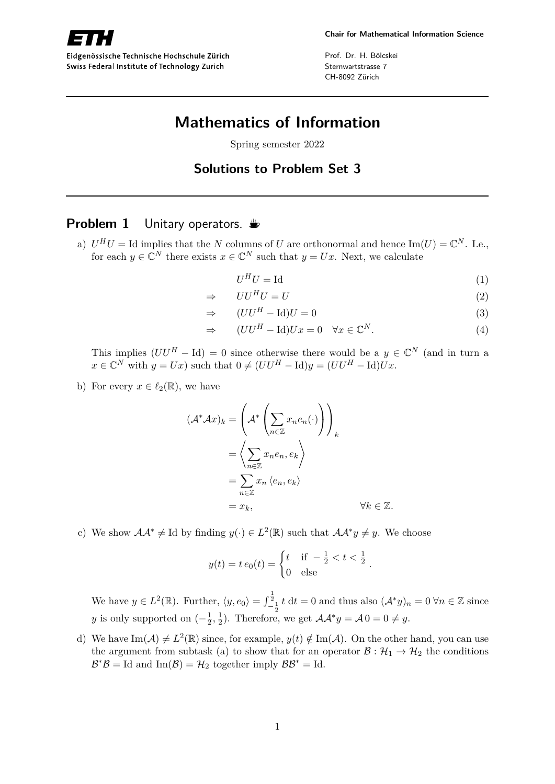

Eidgenössische Technische Hochschule Zürich Swiss Federal Institute of Technology Zurich

Prof. Dr. H. Bölcskei Sternwartstrasse 7 CH-8092 Zürich

# **Mathematics of Information**

Spring semester 2022

**Solutions to Problem Set 3**

### **Problem 1** Unitary operators.  $\triangleq$

a)  $U^H U = \text{Id}$  implies that the *N* columns of *U* are orthonormal and hence  $\text{Im}(U) = \mathbb{C}^N$ . I.e., for each  $y \in \mathbb{C}^N$  there exists  $x \in \mathbb{C}^N$  such that  $y = Ux$ . Next, we calculate

$$
U^H U = \text{Id} \tag{1}
$$

$$
\Rightarrow \qquad U U^H U = U \tag{2}
$$

$$
\Rightarrow \qquad (UU^H - \text{Id})U = 0 \tag{3}
$$

$$
\Rightarrow \qquad (UU^H - \text{Id})Ux = 0 \quad \forall x \in \mathbb{C}^N. \tag{4}
$$

This implies  $(UU^H - Id) = 0$  since otherwise there would be a  $y \in \mathbb{C}^N$  (and in turn a  $x \in \mathbb{C}^N$  with  $y = Ux$ ) such that  $0 \neq (UU^H - \mathrm{Id})y = (UU^H - \mathrm{Id})Ux$ .

b) For every  $x \in \ell_2(\mathbb{R})$ , we have

$$
(\mathcal{A}^* \mathcal{A}x)_k = \left(\mathcal{A}^* \left(\sum_{n \in \mathbb{Z}} x_n e_n(\cdot) \right) \right)_k
$$
  
= 
$$
\left\langle \sum_{n \in \mathbb{Z}} x_n e_n, e_k \right\rangle
$$
  
= 
$$
\sum_{n \in \mathbb{Z}} x_n \left\langle e_n, e_k \right\rangle
$$
  
= 
$$
x_k, \qquad \forall k \in \mathbb{Z}.
$$

c) We show  $\mathcal{A}\mathcal{A}^* \neq \text{Id}$  by finding  $y(\cdot) \in L^2(\mathbb{R})$  such that  $\mathcal{A}\mathcal{A}^*y \neq y$ . We choose

$$
y(t) = t e_0(t) = \begin{cases} t & \text{if } -\frac{1}{2} < t < \frac{1}{2} \\ 0 & \text{else} \end{cases}
$$

We have  $y \in L^2(\mathbb{R})$ . Further,  $\langle y, e_0 \rangle = \int_{-\frac{1}{2}}^{\frac{1}{2}} t \, dt = 0$  and thus also  $(\mathcal{A}^* y)_n = 0 \,\forall n \in \mathbb{Z}$  since *y* is only supported on  $\left(-\frac{1}{2}\right)$  $\frac{1}{2}, \frac{1}{2}$  $\frac{1}{2}$ ). Therefore, we get  $\mathcal{A}\mathcal{A}^*y = \mathcal{A}0 = 0 \neq y$ .

d) We have  $\text{Im}(\mathcal{A}) \neq L^2(\mathbb{R})$  since, for example,  $y(t) \notin \text{Im}(\mathcal{A})$ . On the other hand, you can use the argument from subtask (a) to show that for an operator  $\mathcal{B} : \mathcal{H}_1 \to \mathcal{H}_2$  the conditions  $\mathcal{B}^* \mathcal{B} =$  Id and Im( $\mathcal{B}$ ) =  $\mathcal{H}_2$  together imply  $\mathcal{B} \mathcal{B}^* =$  Id.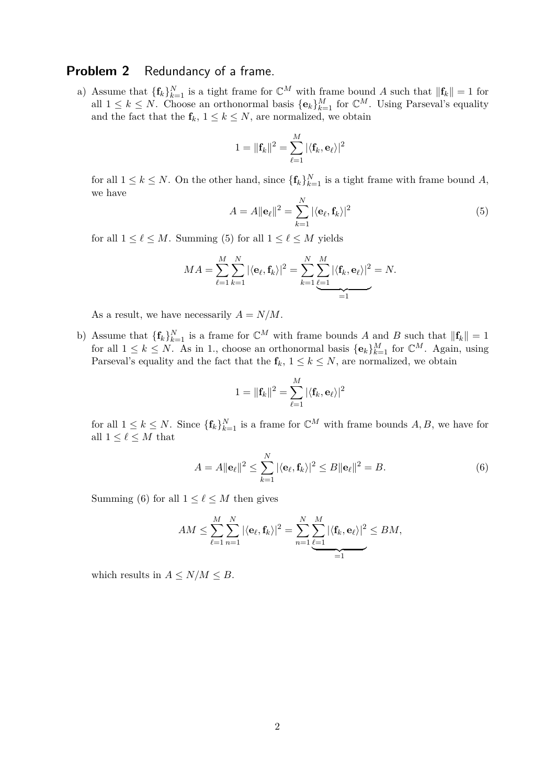### **Problem 2** Redundancy of a frame.

a) Assume that  ${\{\mathbf{f}_k\}}_{k=1}^N$  is a tight frame for  $\mathbb{C}^M$  with frame bound *A* such that  $\|\mathbf{f}_k\|=1$  for all  $1 \leq k \leq N$ . Choose an orthonormal basis  $\{\mathbf{e}_k\}_{k=1}^M$  for  $\mathbb{C}^M$ . Using Parseval's equality and the fact that the  $f_k$ ,  $1 \leq k \leq N$ , are normalized, we obtain

$$
1 = \|\mathbf{f}_k\|^2 = \sum_{\ell=1}^M |\langle \mathbf{f}_k, \mathbf{e}_\ell\rangle|^2
$$

for all  $1 \leq k \leq N$ . On the other hand, since  $\{\mathbf{f}_k\}_{k=1}^N$  is a tight frame with frame bound A, we have

$$
A = A \|\mathbf{e}_{\ell}\|^2 = \sum_{k=1}^{N} |\langle \mathbf{e}_{\ell}, \mathbf{f}_k \rangle|^2 \tag{5}
$$

for all  $1 \leq \ell \leq M$ . Summing (5) for all  $1 \leq \ell \leq M$  yields

$$
MA = \sum_{\ell=1}^{M} \sum_{k=1}^{N} |\langle \mathbf{e}_{\ell}, \mathbf{f}_{k} \rangle|^{2} = \sum_{k=1}^{N} \underbrace{\sum_{\ell=1}^{M} |\langle \mathbf{f}_{k}, \mathbf{e}_{\ell} \rangle|^{2}}_{=1} = N.
$$

As a result, we have necessarily  $A = N/M$ .

b) Assume that  ${\{\mathbf{f}_k\}}_{k=1}^N$  is a frame for  $\mathbb{C}^M$  with frame bounds *A* and *B* such that  $\|\mathbf{f}_k\|=1$ for all  $1 \leq k \leq N$ . As in 1., choose an orthonormal basis  $\{\mathbf{e}_k\}_{k=1}^M$  for  $\mathbb{C}^M$ . Again, using Parseval's equality and the fact that the  $f_k$ ,  $1 \leq k \leq N$ , are normalized, we obtain

$$
1 = \|\mathbf{f}_k\|^2 = \sum_{\ell=1}^M |\langle \mathbf{f}_k, \mathbf{e}_\ell\rangle|^2
$$

for all  $1 \leq k \leq N$ . Since  $\{\mathbf{f}_k\}_{k=1}^N$  is a frame for  $\mathbb{C}^M$  with frame bounds  $A, B$ , we have for all  $1 \leq \ell \leq M$  that

$$
A = A \|\mathbf{e}_{\ell}\|^2 \le \sum_{k=1}^N |\langle \mathbf{e}_{\ell}, \mathbf{f}_k \rangle|^2 \le B \|\mathbf{e}_{\ell}\|^2 = B. \tag{6}
$$

Summing (6) for all  $1 \leq \ell \leq M$  then gives

$$
AM \leq \sum_{\ell=1}^M \sum_{n=1}^N |\langle \mathbf{e}_{\ell}, \mathbf{f}_k \rangle|^2 = \sum_{n=1}^N \sum_{\ell=1}^M |\langle \mathbf{f}_k, \mathbf{e}_{\ell} \rangle|^2 \leq BM,
$$

which results in  $A \leq N/M \leq B$ .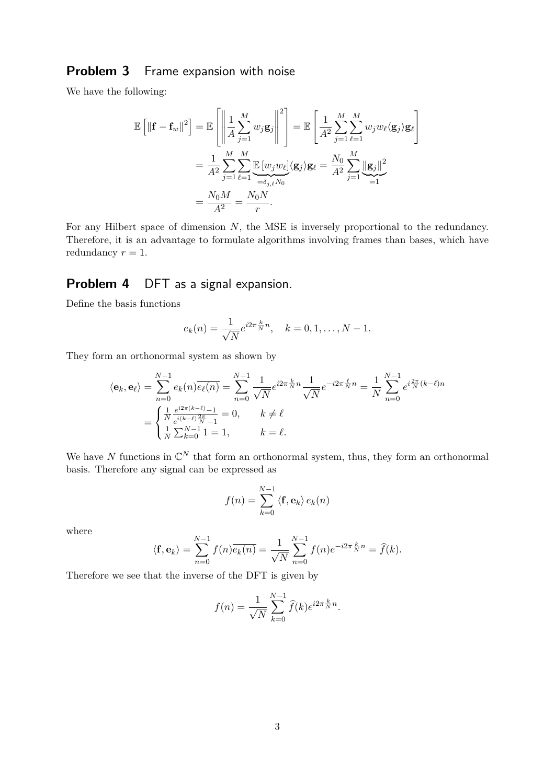# **Problem 3** Frame expansion with noise

We have the following:

$$
\mathbb{E}\left[\|\mathbf{f} - \mathbf{f}_{w}\|^{2}\right] = \mathbb{E}\left[\left\|\frac{1}{A}\sum_{j=1}^{M}w_{j}\mathbf{g}_{j}\right\|^{2}\right] = \mathbb{E}\left[\frac{1}{A^{2}}\sum_{j=1}^{M}\sum_{\ell=1}^{M}w_{j}w_{\ell}\langle\mathbf{g}_{j}\rangle\mathbf{g}_{\ell}\right]
$$

$$
= \frac{1}{A^{2}}\sum_{j=1}^{M}\sum_{\ell=1}^{M}\underbrace{\mathbb{E}\left[w_{j}w_{\ell}\right]}_{=\delta_{j,\ell}N_{0}}\langle\mathbf{g}_{j}\rangle\mathbf{g}_{\ell} = \frac{N_{0}}{A^{2}}\sum_{j=1}^{M}\underbrace{\|\mathbf{g}_{j}\|^{2}}_{=1}
$$

$$
= \frac{N_{0}M}{A^{2}} = \frac{N_{0}N}{r}.
$$

For any Hilbert space of dimension *N*, the MSE is inversely proportional to the redundancy. Therefore, it is an advantage to formulate algorithms involving frames than bases, which have redundancy  $r = 1$ .

## **Problem 4** DFT as a signal expansion.

Define the basis functions

$$
e_k(n) = \frac{1}{\sqrt{N}} e^{i2\pi \frac{k}{N}n}, \quad k = 0, 1, ..., N - 1.
$$

They form an orthonormal system as shown by

$$
\langle \mathbf{e}_k, \mathbf{e}_\ell \rangle = \sum_{n=0}^{N-1} e_k(n) \overline{e_\ell(n)} = \sum_{n=0}^{N-1} \frac{1}{\sqrt{N}} e^{i2\pi \frac{k}{N}n} \frac{1}{\sqrt{N}} e^{-i2\pi \frac{\ell}{N}n} = \frac{1}{N} \sum_{n=0}^{N-1} e^{i\frac{2\pi}{N}(k-\ell)n}
$$

$$
= \begin{cases} \frac{1}{N} \frac{e^{i2\pi(k-\ell)} - 1}{e^{i(k-\ell)\frac{2\pi}{N} - 1}} = 0, & k \neq \ell \\ \frac{1}{N} \sum_{k=0}^{N-1} 1 = 1, & k = \ell. \end{cases}
$$

We have N functions in  $\mathbb{C}^N$  that form an orthonormal system, thus, they form an orthonormal basis. Therefore any signal can be expressed as

$$
f(n) = \sum_{k=0}^{N-1} \langle \mathbf{f}, \mathbf{e}_k \rangle e_k(n)
$$

where

$$
\langle \mathbf{f}, \mathbf{e}_k \rangle = \sum_{n=0}^{N-1} f(n) \overline{e_k(n)} = \frac{1}{\sqrt{N}} \sum_{n=0}^{N-1} f(n) e^{-i2\pi \frac{k}{N}n} = \hat{f}(k).
$$

Therefore we see that the inverse of the DFT is given by

$$
f(n) = \frac{1}{\sqrt{N}} \sum_{k=0}^{N-1} \hat{f}(k) e^{i2\pi \frac{k}{N}n}.
$$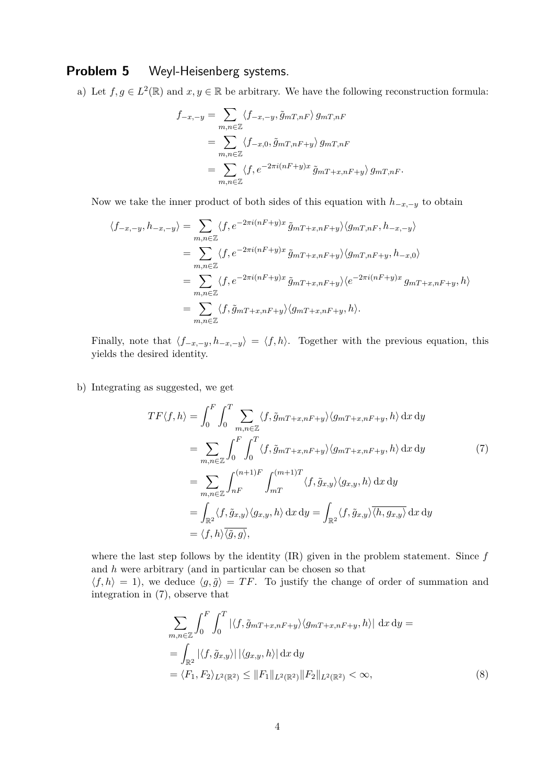## **Problem 5** Weyl-Heisenberg systems.

a) Let  $f, g \in L^2(\mathbb{R})$  and  $x, y \in \mathbb{R}$  be arbitrary. We have the following reconstruction formula:

$$
f_{-x,-y} = \sum_{m,n \in \mathbb{Z}} \langle f_{-x,-y}, \tilde{g}_{mT,nF} \rangle g_{mT,nF}
$$
  
= 
$$
\sum_{m,n \in \mathbb{Z}} \langle f_{-x,0}, \tilde{g}_{mT,nF+y} \rangle g_{mT,nF}
$$
  
= 
$$
\sum_{m,n \in \mathbb{Z}} \langle f, e^{-2\pi i (nF+y)x} \tilde{g}_{mT+x,nF+y} \rangle g_{mT,nF}.
$$

Now we take the inner product of both sides of this equation with  $h_{-x,-y}$  to obtain

$$
\langle f_{-x,-y}, h_{-x,-y} \rangle = \sum_{m,n \in \mathbb{Z}} \langle f, e^{-2\pi i (nF+y)x} \tilde{g}_{mT+x,nF+y} \rangle \langle g_{mT,nF}, h_{-x,-y} \rangle
$$
  
\n
$$
= \sum_{m,n \in \mathbb{Z}} \langle f, e^{-2\pi i (nF+y)x} \tilde{g}_{mT+x,nF+y} \rangle \langle g_{mT,nF+y}, h_{-x,0} \rangle
$$
  
\n
$$
= \sum_{m,n \in \mathbb{Z}} \langle f, e^{-2\pi i (nF+y)x} \tilde{g}_{mT+x,nF+y} \rangle \langle e^{-2\pi i (nF+y)x} g_{mT+x,nF+y}, h \rangle
$$
  
\n
$$
= \sum_{m,n \in \mathbb{Z}} \langle f, \tilde{g}_{mT+x,nF+y} \rangle \langle g_{mT+x,nF+y}, h \rangle.
$$

Finally, note that  $\langle f_{-x,-y}, h_{-x,-y} \rangle = \langle f, h \rangle$ . Together with the previous equation, this yields the desired identity.

b) Integrating as suggested, we get

$$
TF\langle f, h \rangle = \int_0^F \int_0^T \sum_{m,n \in \mathbb{Z}} \langle f, \tilde{g}_{mT+x,nF+y} \rangle \langle g_{mT+x,nF+y}, h \rangle \, dx \, dy
$$
  
\n
$$
= \sum_{m,n \in \mathbb{Z}} \int_0^F \int_0^T \langle f, \tilde{g}_{mT+x,nF+y} \rangle \langle g_{mT+x,nF+y}, h \rangle \, dx \, dy
$$
  
\n
$$
= \sum_{m,n \in \mathbb{Z}} \int_{nF}^{(n+1)F} \int_{mT}^{(m+1)T} \langle f, \tilde{g}_{x,y} \rangle \langle g_{x,y}, h \rangle \, dx \, dy
$$
  
\n
$$
= \int_{\mathbb{R}^2} \langle f, \tilde{g}_{x,y} \rangle \langle g_{x,y}, h \rangle \, dx \, dy = \int_{\mathbb{R}^2} \langle f, \tilde{g}_{x,y} \rangle \overline{\langle h, g_{x,y} \rangle} \, dx \, dy
$$
  
\n
$$
= \langle f, h \rangle \overline{\langle g, g \rangle},
$$
  
\n(7)

where the last step follows by the identity (IR) given in the problem statement. Since *f* and *h* were arbitrary (and in particular can be chosen so that  $\langle f, h \rangle = 1$ , we deduce  $\langle g, \tilde{g} \rangle = TF$ . To justify the change of order of summation and integration in (7), observe that

$$
\sum_{m,n\in\mathbb{Z}} \int_0^F \int_0^T |\langle f, \tilde{g}_{mT+x,nF+y} \rangle \langle g_{mT+x,nF+y}, h \rangle| \, \mathrm{d}x \, \mathrm{d}y =
$$
\n
$$
= \int_{\mathbb{R}^2} |\langle f, \tilde{g}_{x,y} \rangle| |\langle g_{x,y}, h \rangle| \, \mathrm{d}x \, \mathrm{d}y
$$
\n
$$
= \langle F_1, F_2 \rangle_{L^2(\mathbb{R}^2)} \le \|F_1\|_{L^2(\mathbb{R}^2)} \|F_2\|_{L^2(\mathbb{R}^2)} < \infty,
$$
\n(8)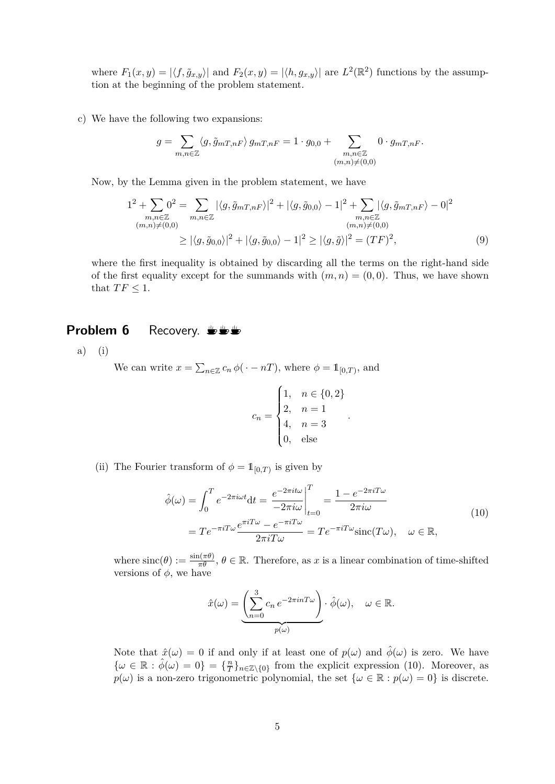where  $F_1(x, y) = |\langle f, \tilde{g}_{x,y} \rangle|$  and  $F_2(x, y) = |\langle h, g_{x,y} \rangle|$  are  $L^2(\mathbb{R}^2)$  functions by the assumption at the beginning of the problem statement.

c) We have the following two expansions:

$$
g = \sum_{m,n \in \mathbb{Z}} \langle g, \tilde{g}_{mT,nF} \rangle g_{mT,nF} = 1 \cdot g_{0,0} + \sum_{\substack{m,n \in \mathbb{Z} \\ (m,n) \neq (0,0)}} 0 \cdot g_{mT,nF}.
$$

Now, by the Lemma given in the problem statement, we have

$$
1^{2} + \sum_{\substack{m,n \in \mathbb{Z} \\ (m,n) \neq (0,0)}} 0^{2} = \sum_{\substack{m,n \in \mathbb{Z} \\ (m,n) \neq (0,0)}} |\langle g, \tilde{g}_{mT,nF} \rangle|^{2} + |\langle g, \tilde{g}_{0,0} \rangle - 1|^{2} + \sum_{\substack{m,n \in \mathbb{Z} \\ (m,n) \neq (0,0)}} |\langle g, \tilde{g}_{mT,nF} \rangle - 0|^{2}
$$
  

$$
\geq |\langle g, \tilde{g}_{0,0} \rangle|^{2} + |\langle g, \tilde{g}_{0,0} \rangle - 1|^{2} \geq |\langle g, \tilde{g} \rangle|^{2} = (TF)^{2},
$$
 (9)

where the first inequality is obtained by discarding all the terms on the right-hand side of the first equality except for the summands with  $(m, n) = (0, 0)$ . Thus, we have shown that  $TF \leq 1$ .

#### **Problem 6** Recovery. **Solution**

a) (i)

We can write  $x = \sum_{n \in \mathbb{Z}} c_n \phi(\cdot - n)$ , where  $\phi = \mathbb{1}_{[0,T)}$ , and

$$
c_n = \begin{cases} 1, & n \in \{0, 2\} \\ 2, & n = 1 \\ 4, & n = 3 \\ 0, & \text{else} \end{cases}
$$

(ii) The Fourier transform of  $\phi = \mathbb{1}_{[0,T)}$  is given by

$$
\hat{\phi}(\omega) = \int_0^T e^{-2\pi i \omega t} dt = \frac{e^{-2\pi i t \omega}}{-2\pi i \omega} \Big|_{t=0}^T = \frac{1 - e^{-2\pi i T \omega}}{2\pi i \omega}
$$
\n
$$
= T e^{-\pi i T \omega} \frac{e^{\pi i T \omega} - e^{-\pi i T \omega}}{2\pi i T \omega} = T e^{-\pi i T \omega} \text{sinc}(T\omega), \quad \omega \in \mathbb{R},
$$
\n(10)

*.*

where  $\text{sinc}(\theta) := \frac{\sin(\pi \theta)}{\pi \theta}, \theta \in \mathbb{R}$ . Therefore, as *x* is a linear combination of time-shifted versions of  $\phi$ , we have

$$
\hat{x}(\omega) = \underbrace{\left(\sum_{n=0}^{3} c_n e^{-2\pi i n T \omega}\right)}_{p(\omega)} \cdot \hat{\phi}(\omega), \quad \omega \in \mathbb{R}.
$$

Note that  $\hat{x}(\omega) = 0$  if and only if at least one of  $p(\omega)$  and  $\hat{\phi}(\omega)$  is zero. We have  $\{\omega \in \mathbb{R} : \hat{\phi}(\omega) = 0\} = \{\frac{n}{7}\}$  $T^{\frac{n}{T}}_{n \in \mathbb{Z} \setminus \{0\}}$  from the explicit expression (10). Moreover, as  $p(\omega)$  is a non-zero trigonometric polynomial, the set  $\{\omega \in \mathbb{R} : p(\omega) = 0\}$  is discrete.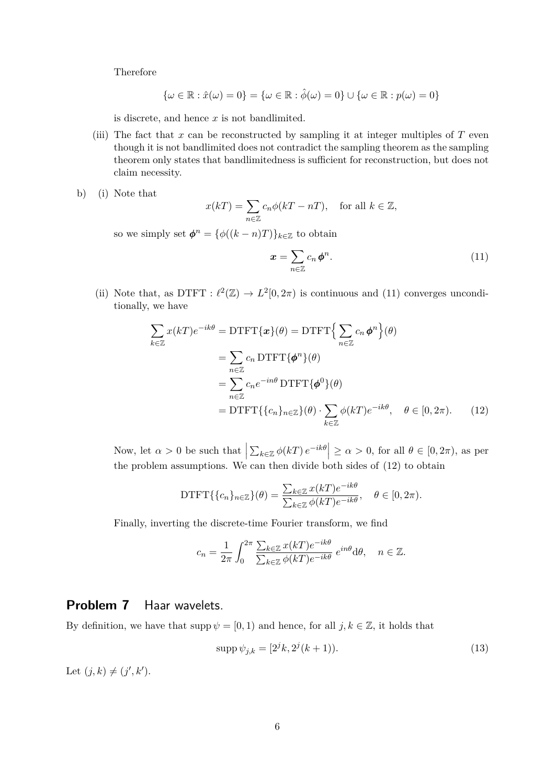Therefore

$$
\{\omega \in \mathbb{R} : \hat{x}(\omega) = 0\} = \{\omega \in \mathbb{R} : \hat{\phi}(\omega) = 0\} \cup \{\omega \in \mathbb{R} : p(\omega) = 0\}
$$

is discrete, and hence *x* is not bandlimited.

- (iii) The fact that  $x$  can be reconstructed by sampling it at integer multiples of  $T$  even though it is not bandlimited does not contradict the sampling theorem as the sampling theorem only states that bandlimitedness is sufficient for reconstruction, but does not claim necessity.
- b) (i) Note that

$$
x(kT) = \sum_{n \in \mathbb{Z}} c_n \phi(kT - nT), \quad \text{for all } k \in \mathbb{Z},
$$

so we simply set  $\phi^n = {\phi((k-n)T)}_{k \in \mathbb{Z}}$  to obtain

$$
\boldsymbol{x} = \sum_{n \in \mathbb{Z}} c_n \boldsymbol{\phi}^n.
$$
 (11)

(ii) Note that, as DTFT :  $\ell^2(\mathbb{Z}) \to L^2[0, 2\pi)$  is continuous and (11) converges unconditionally, we have

$$
\sum_{k \in \mathbb{Z}} x(kT)e^{-ik\theta} = \text{DTFT}\{\mathbf{x}\}(\theta) = \text{DTFT}\Big{\sum_{n \in \mathbb{Z}} c_n \phi^n\Big}(\theta)
$$

$$
= \sum_{n \in \mathbb{Z}} c_n \text{DTFT}\{\phi^n\}(\theta)
$$

$$
= \sum_{n \in \mathbb{Z}} c_n e^{-in\theta} \text{DTFT}\{\phi^0\}(\theta)
$$

$$
= \text{DTFT}\{\{c_n\}_{n \in \mathbb{Z}}\}(\theta) \cdot \sum_{k \in \mathbb{Z}} \phi(kT)e^{-ik\theta}, \quad \theta \in [0, 2\pi). \tag{12}
$$

Now, let  $\alpha > 0$  be such that  $\left| \sum_{k \in \mathbb{Z}} \phi(kT) e^{-ik\theta} \right| \ge \alpha > 0$ , for all  $\theta \in [0, 2\pi)$ , as per the problem assumptions. We can then divide both sides of (12) to obtain

DTFT
$$
\{\{c_n\}_{n\in\mathbb{Z}}\}(\theta) = \frac{\sum_{k\in\mathbb{Z}} x(kT)e^{-ik\theta}}{\sum_{k\in\mathbb{Z}} \phi(kT)e^{-ik\theta}}, \quad \theta \in [0, 2\pi).
$$

Finally, inverting the discrete-time Fourier transform, we find

$$
c_n = \frac{1}{2\pi} \int_0^{2\pi} \frac{\sum_{k \in \mathbb{Z}} x(kT) e^{-ik\theta}}{\sum_{k \in \mathbb{Z}} \phi(kT) e^{-ik\theta}} e^{in\theta} d\theta, \quad n \in \mathbb{Z}.
$$

#### **Problem 7** Haar wavelets.

By definition, we have that  $\text{supp }\psi = [0,1)$  and hence, for all  $j, k \in \mathbb{Z}$ , it holds that

$$
supp \psi_{j,k} = [2^j k, 2^j (k+1)).
$$
\n(13)

Let  $(j, k) \neq (j', k').$